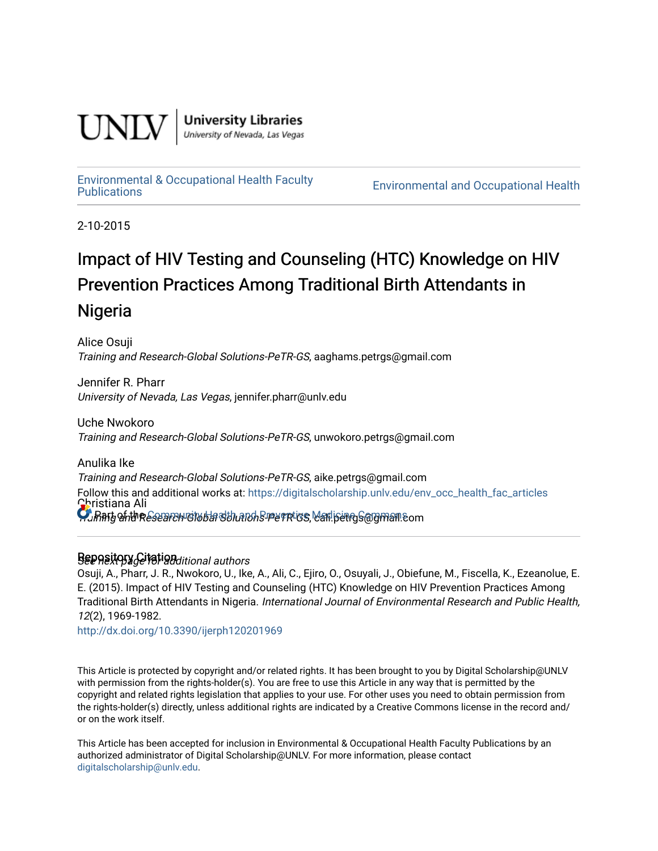

**University Libraries**<br>University of Nevada, Las Vegas

# [Environmental & Occupational Health Faculty](https://digitalscholarship.unlv.edu/env_occ_health_fac_articles)

**Environmental and Occupational Health** 

2-10-2015

# Impact of HIV Testing and Counseling (HTC) Knowledge on HIV Prevention Practices Among Traditional Birth Attendants in Nigeria

Alice Osuji Training and Research-Global Solutions-PeTR-GS, aaghams.petrgs@gmail.com

Jennifer R. Pharr University of Nevada, Las Vegas, jennifer.pharr@unlv.edu

Uche Nwokoro Training and Research-Global Solutions-PeTR-GS, unwokoro.petrgs@gmail.com

Anulika Ike Training and Research-Global Solutions-PeTR-GS, aike.petrgs@gmail.com Christiana Ali  $\blacktriangleright$ Jinang af the Research-Global stolution Breventics, Marl jseting S@gmail.com Follow this and additional works at: [https://digitalscholarship.unlv.edu/env\\_occ\\_health\\_fac\\_articles](https://digitalscholarship.unlv.edu/env_occ_health_fac_articles?utm_source=digitalscholarship.unlv.edu%2Fenv_occ_health_fac_articles%2F172&utm_medium=PDF&utm_campaign=PDFCoverPages) 

### **Bepneitory Gitational authors**

Osuji, A., Pharr, J. R., Nwokoro, U., Ike, A., Ali, C., Ejiro, O., Osuyali, J., Obiefune, M., Fiscella, K., Ezeanolue, E. E. (2015). Impact of HIV Testing and Counseling (HTC) Knowledge on HIV Prevention Practices Among Traditional Birth Attendants in Nigeria. International Journal of Environmental Research and Public Health, 12(2), 1969-1982.

<http://dx.doi.org/10.3390/ijerph120201969>

This Article is protected by copyright and/or related rights. It has been brought to you by Digital Scholarship@UNLV with permission from the rights-holder(s). You are free to use this Article in any way that is permitted by the copyright and related rights legislation that applies to your use. For other uses you need to obtain permission from the rights-holder(s) directly, unless additional rights are indicated by a Creative Commons license in the record and/ or on the work itself.

This Article has been accepted for inclusion in Environmental & Occupational Health Faculty Publications by an authorized administrator of Digital Scholarship@UNLV. For more information, please contact [digitalscholarship@unlv.edu](mailto:digitalscholarship@unlv.edu).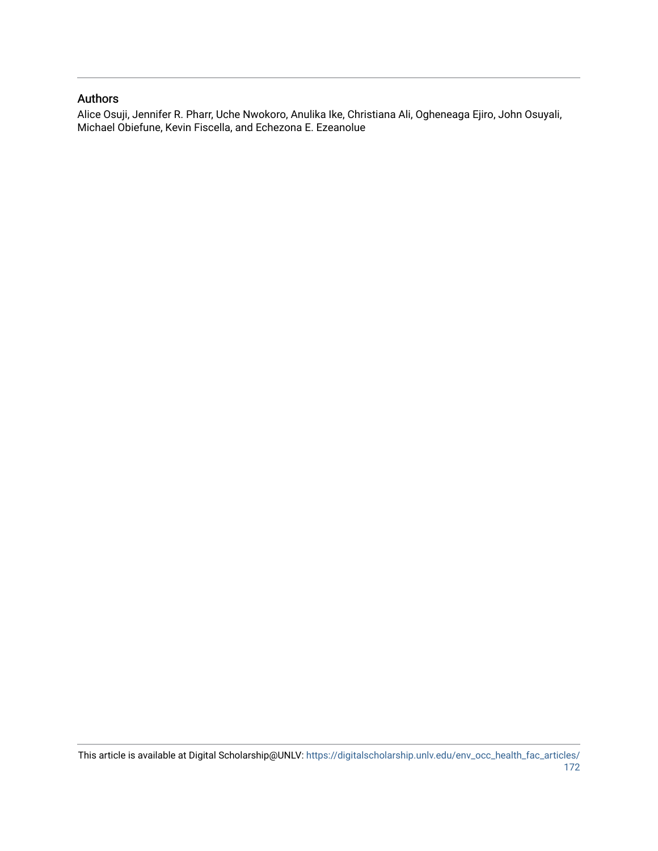#### Authors

Alice Osuji, Jennifer R. Pharr, Uche Nwokoro, Anulika Ike, Christiana Ali, Ogheneaga Ejiro, John Osuyali, Michael Obiefune, Kevin Fiscella, and Echezona E. Ezeanolue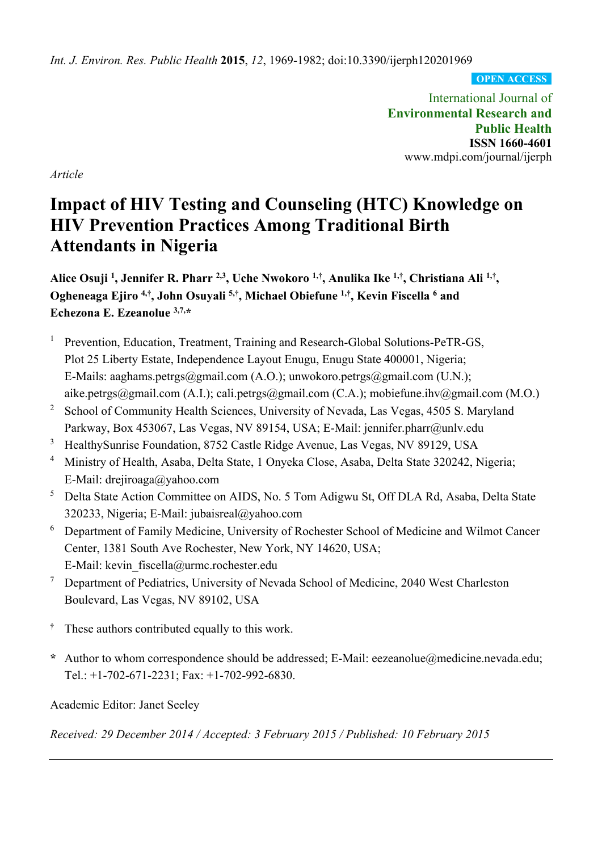*Int. J. Environ. Res. Public Health* **2015**, *12*, 1969-1982; doi:10.3390/ijerph120201969

**OPEN ACCESS**

International Journal of **Environmental Research and Public Health ISSN 1660-4601**  www.mdpi.com/journal/ijerph

*Article*

## **Impact of HIV Testing and Counseling (HTC) Knowledge on HIV Prevention Practices Among Traditional Birth Attendants in Nigeria**

**Alice Osuji 1 , Jennifer R. Pharr 2,3, Uche Nwokoro 1,†, Anulika Ike 1,†, Christiana Ali 1,†, Ogheneaga Ejiro 4,†, John Osuyali 5,†, Michael Obiefune 1,†, Kevin Fiscella 6 and Echezona E. Ezeanolue 3,7,\***

- 1 Prevention, Education, Treatment, Training and Research-Global Solutions-PeTR-GS, Plot 25 Liberty Estate, Independence Layout Enugu, Enugu State 400001, Nigeria; E-Mails: aaghams.petrgs@gmail.com (A.O.); unwokoro.petrgs@gmail.com (U.N.); aike.petrgs@gmail.com (A.I.); cali.petrgs@gmail.com (C.A.); mobiefune.ihv@gmail.com (M.O.)
- <sup>2</sup> School of Community Health Sciences, University of Nevada, Las Vegas, 4505 S. Maryland Parkway, Box 453067, Las Vegas, NV 89154, USA; E-Mail: jennifer.pharr@unly.edu
- 3 HealthySunrise Foundation, 8752 Castle Ridge Avenue, Las Vegas, NV 89129, USA
- 4 Ministry of Health, Asaba, Delta State, 1 Onyeka Close, Asaba, Delta State 320242, Nigeria; E-Mail: drejiroaga@yahoo.com
- 5 Delta State Action Committee on AIDS, No. 5 Tom Adigwu St, Off DLA Rd, Asaba, Delta State 320233, Nigeria; E-Mail: jubaisreal@yahoo.com
- 6 Department of Family Medicine, University of Rochester School of Medicine and Wilmot Cancer Center, 1381 South Ave Rochester, New York, NY 14620, USA; E-Mail: kevin\_fiscella@urmc.rochester.edu
- 7 Department of Pediatrics, University of Nevada School of Medicine, 2040 West Charleston Boulevard, Las Vegas, NV 89102, USA
- **†** These authors contributed equally to this work.
- **\*** Author to whom correspondence should be addressed; E-Mail: eezeanolue@medicine.nevada.edu; Tel.: +1-702-671-2231; Fax: +1-702-992-6830.

Academic Editor: Janet Seeley

*Received: 29 December 2014 / Accepted: 3 February 2015 / Published: 10 February 2015*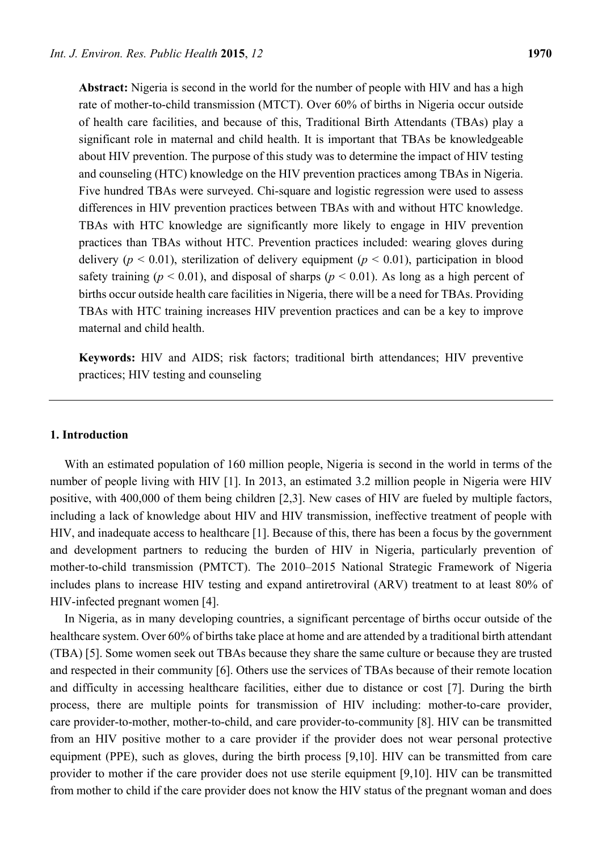**Abstract:** Nigeria is second in the world for the number of people with HIV and has a high rate of mother-to-child transmission (MTCT). Over 60% of births in Nigeria occur outside of health care facilities, and because of this, Traditional Birth Attendants (TBAs) play a significant role in maternal and child health. It is important that TBAs be knowledgeable about HIV prevention. The purpose of this study was to determine the impact of HIV testing and counseling (HTC) knowledge on the HIV prevention practices among TBAs in Nigeria. Five hundred TBAs were surveyed. Chi-square and logistic regression were used to assess differences in HIV prevention practices between TBAs with and without HTC knowledge. TBAs with HTC knowledge are significantly more likely to engage in HIV prevention practices than TBAs without HTC. Prevention practices included: wearing gloves during delivery ( $p < 0.01$ ), sterilization of delivery equipment ( $p < 0.01$ ), participation in blood safety training ( $p < 0.01$ ), and disposal of sharps ( $p < 0.01$ ). As long as a high percent of births occur outside health care facilities in Nigeria, there will be a need for TBAs. Providing TBAs with HTC training increases HIV prevention practices and can be a key to improve maternal and child health.

**Keywords:** HIV and AIDS; risk factors; traditional birth attendances; HIV preventive practices; HIV testing and counseling

#### **1. Introduction**

With an estimated population of 160 million people, Nigeria is second in the world in terms of the number of people living with HIV [1]. In 2013, an estimated 3.2 million people in Nigeria were HIV positive, with 400,000 of them being children [2,3]. New cases of HIV are fueled by multiple factors, including a lack of knowledge about HIV and HIV transmission, ineffective treatment of people with HIV, and inadequate access to healthcare [1]. Because of this, there has been a focus by the government and development partners to reducing the burden of HIV in Nigeria, particularly prevention of mother-to-child transmission (PMTCT). The 2010–2015 National Strategic Framework of Nigeria includes plans to increase HIV testing and expand antiretroviral (ARV) treatment to at least 80% of HIV-infected pregnant women [4].

In Nigeria, as in many developing countries, a significant percentage of births occur outside of the healthcare system. Over 60% of births take place at home and are attended by a traditional birth attendant (TBA) [5]. Some women seek out TBAs because they share the same culture or because they are trusted and respected in their community [6]. Others use the services of TBAs because of their remote location and difficulty in accessing healthcare facilities, either due to distance or cost [7]. During the birth process, there are multiple points for transmission of HIV including: mother-to-care provider, care provider-to-mother, mother-to-child, and care provider-to-community [8]. HIV can be transmitted from an HIV positive mother to a care provider if the provider does not wear personal protective equipment (PPE), such as gloves, during the birth process [9,10]. HIV can be transmitted from care provider to mother if the care provider does not use sterile equipment [9,10]. HIV can be transmitted from mother to child if the care provider does not know the HIV status of the pregnant woman and does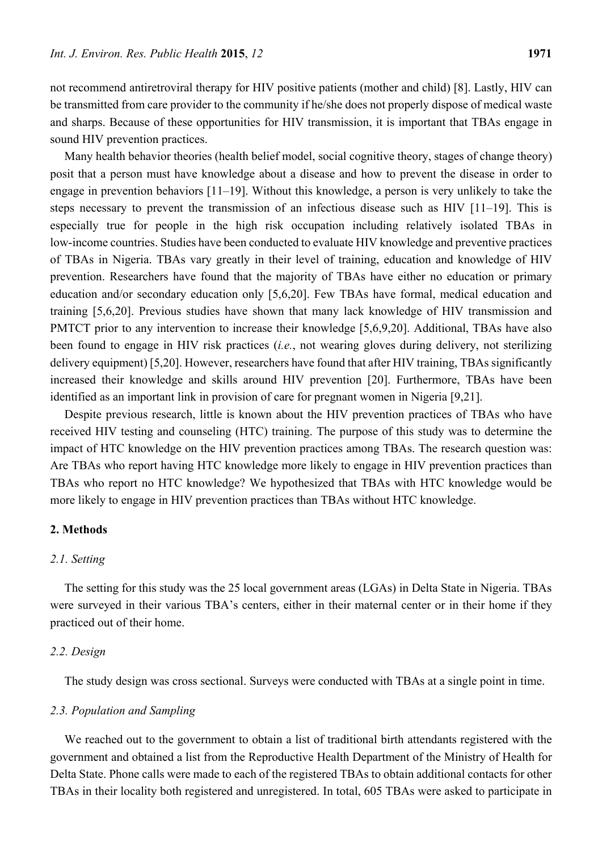not recommend antiretroviral therapy for HIV positive patients (mother and child) [8]. Lastly, HIV can be transmitted from care provider to the community if he/she does not properly dispose of medical waste and sharps. Because of these opportunities for HIV transmission, it is important that TBAs engage in sound HIV prevention practices.

Many health behavior theories (health belief model, social cognitive theory, stages of change theory) posit that a person must have knowledge about a disease and how to prevent the disease in order to engage in prevention behaviors [11–19]. Without this knowledge, a person is very unlikely to take the steps necessary to prevent the transmission of an infectious disease such as HIV [11–19]. This is especially true for people in the high risk occupation including relatively isolated TBAs in low-income countries. Studies have been conducted to evaluate HIV knowledge and preventive practices of TBAs in Nigeria. TBAs vary greatly in their level of training, education and knowledge of HIV prevention. Researchers have found that the majority of TBAs have either no education or primary education and/or secondary education only [5,6,20]. Few TBAs have formal, medical education and training [5,6,20]. Previous studies have shown that many lack knowledge of HIV transmission and PMTCT prior to any intervention to increase their knowledge [5,6,9,20]. Additional, TBAs have also been found to engage in HIV risk practices (*i.e.*, not wearing gloves during delivery, not sterilizing delivery equipment) [5,20]. However, researchers have found that after HIV training, TBAs significantly increased their knowledge and skills around HIV prevention [20]. Furthermore, TBAs have been identified as an important link in provision of care for pregnant women in Nigeria [9,21].

Despite previous research, little is known about the HIV prevention practices of TBAs who have received HIV testing and counseling (HTC) training. The purpose of this study was to determine the impact of HTC knowledge on the HIV prevention practices among TBAs. The research question was: Are TBAs who report having HTC knowledge more likely to engage in HIV prevention practices than TBAs who report no HTC knowledge? We hypothesized that TBAs with HTC knowledge would be more likely to engage in HIV prevention practices than TBAs without HTC knowledge.

#### **2. Methods**

#### *2.1. Setting*

The setting for this study was the 25 local government areas (LGAs) in Delta State in Nigeria. TBAs were surveyed in their various TBA's centers, either in their maternal center or in their home if they practiced out of their home.

#### *2.2. Design*

The study design was cross sectional. Surveys were conducted with TBAs at a single point in time.

#### *2.3. Population and Sampling*

We reached out to the government to obtain a list of traditional birth attendants registered with the government and obtained a list from the Reproductive Health Department of the Ministry of Health for Delta State. Phone calls were made to each of the registered TBAs to obtain additional contacts for other TBAs in their locality both registered and unregistered. In total, 605 TBAs were asked to participate in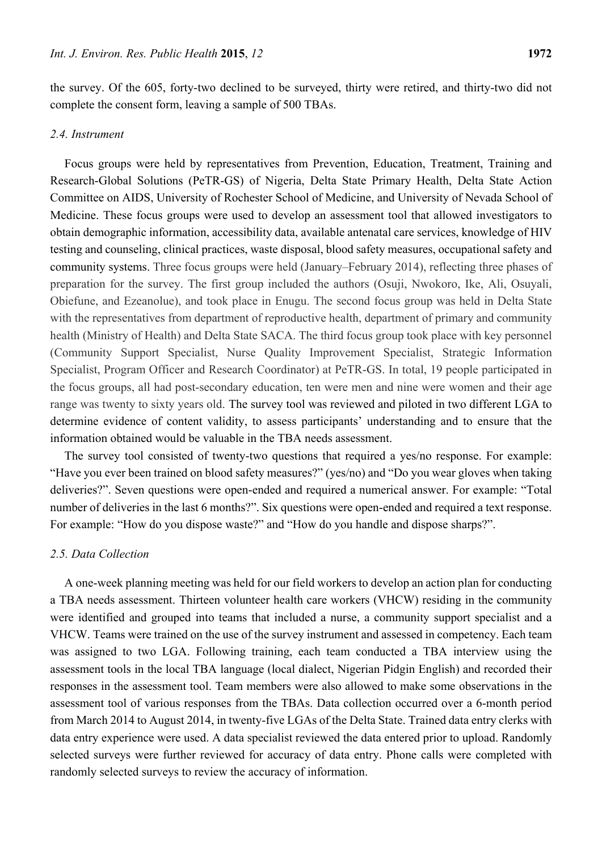the survey. Of the 605, forty-two declined to be surveyed, thirty were retired, and thirty-two did not complete the consent form, leaving a sample of 500 TBAs.

#### *2.4. Instrument*

Focus groups were held by representatives from Prevention, Education, Treatment, Training and Research-Global Solutions (PeTR-GS) of Nigeria, Delta State Primary Health, Delta State Action Committee on AIDS, University of Rochester School of Medicine, and University of Nevada School of Medicine. These focus groups were used to develop an assessment tool that allowed investigators to obtain demographic information, accessibility data, available antenatal care services, knowledge of HIV testing and counseling, clinical practices, waste disposal, blood safety measures, occupational safety and community systems. Three focus groups were held (January–February 2014), reflecting three phases of preparation for the survey. The first group included the authors (Osuji, Nwokoro, Ike, Ali, Osuyali, Obiefune, and Ezeanolue), and took place in Enugu. The second focus group was held in Delta State with the representatives from department of reproductive health, department of primary and community health (Ministry of Health) and Delta State SACA. The third focus group took place with key personnel (Community Support Specialist, Nurse Quality Improvement Specialist, Strategic Information Specialist, Program Officer and Research Coordinator) at PeTR-GS. In total, 19 people participated in the focus groups, all had post-secondary education, ten were men and nine were women and their age range was twenty to sixty years old. The survey tool was reviewed and piloted in two different LGA to determine evidence of content validity, to assess participants' understanding and to ensure that the information obtained would be valuable in the TBA needs assessment.

The survey tool consisted of twenty-two questions that required a yes/no response. For example: "Have you ever been trained on blood safety measures?" (yes/no) and "Do you wear gloves when taking deliveries?". Seven questions were open-ended and required a numerical answer. For example: "Total number of deliveries in the last 6 months?". Six questions were open-ended and required a text response. For example: "How do you dispose waste?" and "How do you handle and dispose sharps?".

#### *2.5. Data Collection*

A one-week planning meeting was held for our field workers to develop an action plan for conducting a TBA needs assessment. Thirteen volunteer health care workers (VHCW) residing in the community were identified and grouped into teams that included a nurse, a community support specialist and a VHCW. Teams were trained on the use of the survey instrument and assessed in competency. Each team was assigned to two LGA. Following training, each team conducted a TBA interview using the assessment tools in the local TBA language (local dialect, Nigerian Pidgin English) and recorded their responses in the assessment tool. Team members were also allowed to make some observations in the assessment tool of various responses from the TBAs. Data collection occurred over a 6-month period from March 2014 to August 2014, in twenty-five LGAs of the Delta State. Trained data entry clerks with data entry experience were used. A data specialist reviewed the data entered prior to upload. Randomly selected surveys were further reviewed for accuracy of data entry. Phone calls were completed with randomly selected surveys to review the accuracy of information.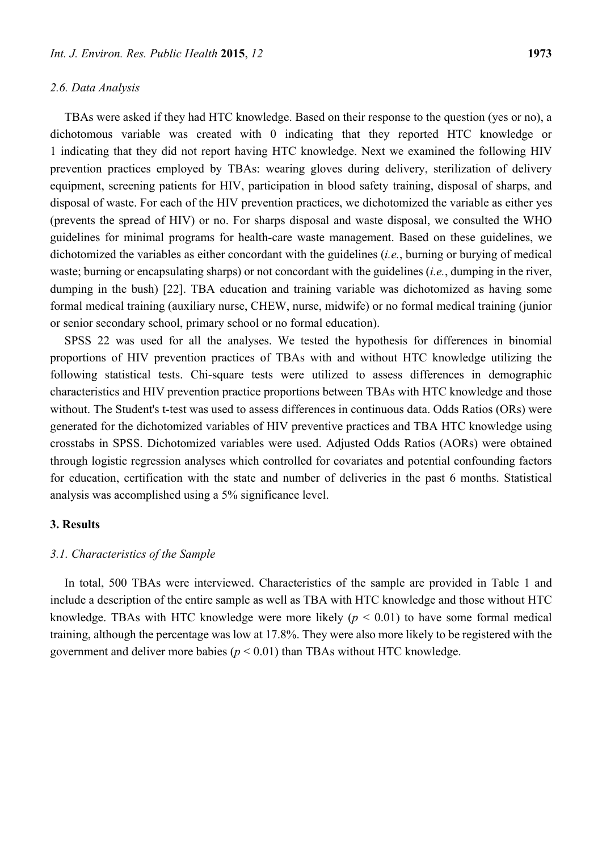#### *2.6. Data Analysis*

TBAs were asked if they had HTC knowledge. Based on their response to the question (yes or no), a dichotomous variable was created with 0 indicating that they reported HTC knowledge or 1 indicating that they did not report having HTC knowledge. Next we examined the following HIV prevention practices employed by TBAs: wearing gloves during delivery, sterilization of delivery equipment, screening patients for HIV, participation in blood safety training, disposal of sharps, and disposal of waste. For each of the HIV prevention practices, we dichotomized the variable as either yes (prevents the spread of HIV) or no. For sharps disposal and waste disposal, we consulted the WHO guidelines for minimal programs for health-care waste management. Based on these guidelines, we dichotomized the variables as either concordant with the guidelines (*i.e.*, burning or burying of medical waste; burning or encapsulating sharps) or not concordant with the guidelines (*i.e.*, dumping in the river, dumping in the bush) [22]. TBA education and training variable was dichotomized as having some formal medical training (auxiliary nurse, CHEW, nurse, midwife) or no formal medical training (junior or senior secondary school, primary school or no formal education).

SPSS 22 was used for all the analyses. We tested the hypothesis for differences in binomial proportions of HIV prevention practices of TBAs with and without HTC knowledge utilizing the following statistical tests. Chi-square tests were utilized to assess differences in demographic characteristics and HIV prevention practice proportions between TBAs with HTC knowledge and those without. The Student's t-test was used to assess differences in continuous data. Odds Ratios (ORs) were generated for the dichotomized variables of HIV preventive practices and TBA HTC knowledge using crosstabs in SPSS. Dichotomized variables were used. Adjusted Odds Ratios (AORs) were obtained through logistic regression analyses which controlled for covariates and potential confounding factors for education, certification with the state and number of deliveries in the past 6 months. Statistical analysis was accomplished using a 5% significance level.

#### **3. Results**

#### *3.1. Characteristics of the Sample*

In total, 500 TBAs were interviewed. Characteristics of the sample are provided in Table 1 and include a description of the entire sample as well as TBA with HTC knowledge and those without HTC knowledge. TBAs with HTC knowledge were more likely  $(p < 0.01)$  to have some formal medical training, although the percentage was low at 17.8%. They were also more likely to be registered with the government and deliver more babies ( $p \le 0.01$ ) than TBAs without HTC knowledge.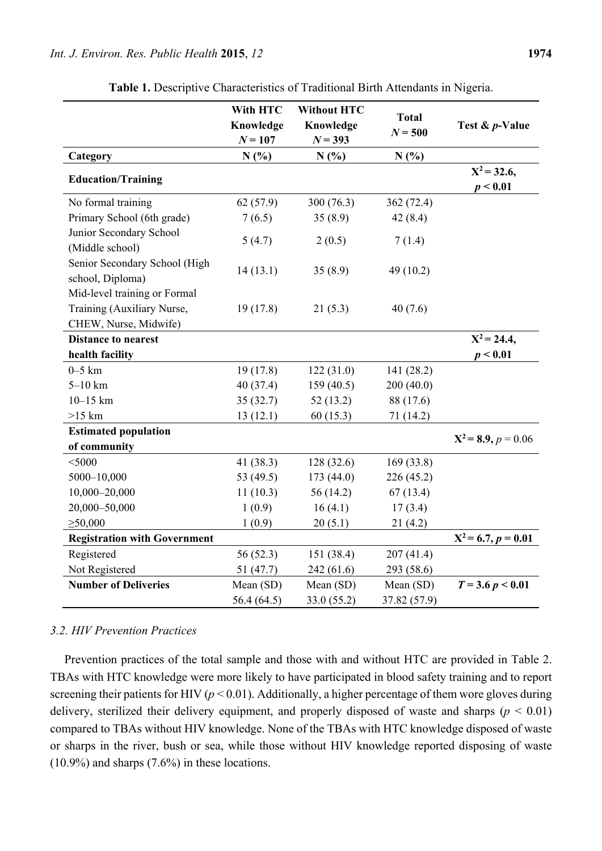|                                                   | With HTC   | <b>Without HTC</b><br><b>Total</b> |              |                       |
|---------------------------------------------------|------------|------------------------------------|--------------|-----------------------|
|                                                   | Knowledge  | Knowledge                          | $N = 500$    | Test & p-Value        |
|                                                   | $N = 107$  | $N = 393$                          |              |                       |
| Category                                          | N(%)       | N(%)                               | N(%)         | $X^2 = 32.6$ ,        |
| <b>Education/Training</b>                         |            |                                    |              | p < 0.01              |
| No formal training                                | 62(57.9)   | 300 (76.3)                         | 362 (72.4)   |                       |
| Primary School (6th grade)                        | 7(6.5)     | 35(8.9)                            | 42(8.4)      |                       |
| Junior Secondary School                           | 5(4.7)     | 2(0.5)                             | 7(1.4)       |                       |
| (Middle school)                                   |            |                                    |              |                       |
| Senior Secondary School (High<br>school, Diploma) | 14(13.1)   | 35(8.9)                            | 49 (10.2)    |                       |
| Mid-level training or Formal                      |            |                                    |              |                       |
| Training (Auxiliary Nurse,                        | 19(17.8)   | 21(5.3)                            | 40(7.6)      |                       |
| CHEW, Nurse, Midwife)                             |            |                                    |              |                       |
| <b>Distance to nearest</b>                        |            |                                    |              | $X^2 = 24.4$ ,        |
| health facility                                   |            |                                    |              | p < 0.01              |
| $0-5$ km                                          | 19(17.8)   | 122(31.0)                          | 141 (28.2)   |                       |
| $5-10$ km                                         | 40 (37.4)  | 159(40.5)                          | 200(40.0)    |                       |
| $10 - 15$ km                                      | 35(32.7)   | 52(13.2)                           | 88 (17.6)    |                       |
| $>15$ km                                          | 13(12.1)   | 60(15.3)                           | 71 (14.2)    |                       |
| <b>Estimated population</b>                       |            |                                    |              | $X^2 = 8.9, p = 0.06$ |
| of community                                      |            |                                    |              |                       |
| $<$ 5000                                          | 41 (38.3)  | 128(32.6)                          | 169(33.8)    |                       |
| 5000-10,000                                       | 53 (49.5)  | 173(44.0)                          | 226(45.2)    |                       |
| 10,000-20,000                                     | 11(10.3)   | 56 (14.2)                          | 67(13.4)     |                       |
| 20,000-50,000                                     | 1(0.9)     | 16(4.1)                            | 17(3.4)      |                       |
| $\geq 50,000$                                     | 1(0.9)     | 20(5.1)                            | 21(4.2)      |                       |
| <b>Registration with Government</b>               |            |                                    |              | $X^2 = 6.7, p = 0.01$ |
| Registered                                        | 56 (52.3)  | 151 (38.4)                         | 207(41.4)    |                       |
| Not Registered                                    | 51 (47.7)  | 242 (61.6)                         | 293 (58.6)   |                       |
| <b>Number of Deliveries</b>                       | Mean (SD)  | Mean (SD)                          | Mean (SD)    | $T = 3.6 p < 0.01$    |
|                                                   | 56.4(64.5) | 33.0(55.2)                         | 37.82 (57.9) |                       |

**Table 1.** Descriptive Characteristics of Traditional Birth Attendants in Nigeria.

#### *3.2. HIV Prevention Practices*

Prevention practices of the total sample and those with and without HTC are provided in Table 2. TBAs with HTC knowledge were more likely to have participated in blood safety training and to report screening their patients for HIV ( $p < 0.01$ ). Additionally, a higher percentage of them wore gloves during delivery, sterilized their delivery equipment, and properly disposed of waste and sharps (*p* < 0.01) compared to TBAs without HIV knowledge. None of the TBAs with HTC knowledge disposed of waste or sharps in the river, bush or sea, while those without HIV knowledge reported disposing of waste (10.9%) and sharps (7.6%) in these locations.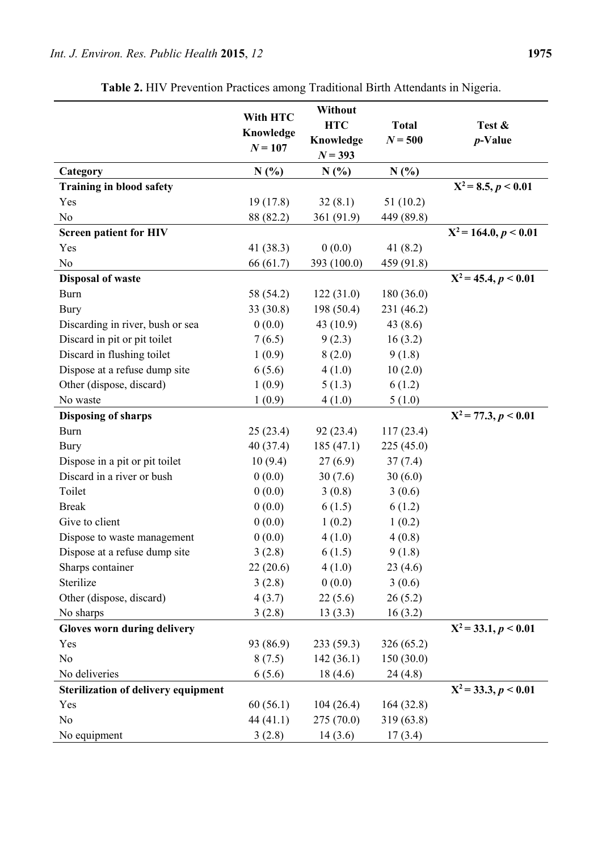|                                     | With HTC<br>Knowledge<br>$N = 107$ | Without<br><b>HTC</b><br>Knowledge<br>$N = 393$ | <b>Total</b><br>$N = 500$ | Test &<br>$p$ -Value    |
|-------------------------------------|------------------------------------|-------------------------------------------------|---------------------------|-------------------------|
| Category                            | N(%)                               | N(%)                                            | N(%)                      |                         |
| <b>Training in blood safety</b>     |                                    |                                                 |                           | $X^2 = 8.5, p < 0.01$   |
| Yes                                 | 19(17.8)                           | 32(8.1)                                         | 51(10.2)                  |                         |
| No                                  | 88 (82.2)                          | 361 (91.9)                                      | 449 (89.8)                |                         |
| <b>Screen patient for HIV</b>       |                                    |                                                 |                           | $X^2 = 164.0, p < 0.01$ |
| Yes                                 | 41 (38.3)                          | 0(0.0)                                          | 41 $(8.2)$                |                         |
| No                                  | 66 (61.7)                          | 393 (100.0)                                     | 459 (91.8)                |                         |
| <b>Disposal of waste</b>            |                                    |                                                 |                           | $X^2 = 45.4, p < 0.01$  |
| <b>Burn</b>                         | 58 (54.2)                          | 122(31.0)                                       | 180(36.0)                 |                         |
| <b>Bury</b>                         | 33 (30.8)                          | 198 (50.4)                                      | 231 (46.2)                |                         |
| Discarding in river, bush or sea    | 0(0.0)                             | 43 (10.9)                                       | 43 $(8.6)$                |                         |
| Discard in pit or pit toilet        | 7(6.5)                             | 9(2.3)                                          | 16(3.2)                   |                         |
| Discard in flushing toilet          | 1(0.9)                             | 8(2.0)                                          | 9(1.8)                    |                         |
| Dispose at a refuse dump site       | 6(5.6)                             | 4(1.0)                                          | 10(2.0)                   |                         |
| Other (dispose, discard)            | 1(0.9)                             | 5(1.3)                                          | 6(1.2)                    |                         |
| No waste                            | 1(0.9)                             | 4(1.0)                                          | 5(1.0)                    |                         |
| <b>Disposing of sharps</b>          |                                    |                                                 |                           | $X^2 = 77.3, p < 0.01$  |
| <b>Burn</b>                         | 25(23.4)                           | 92(23.4)                                        | 117(23.4)                 |                         |
| <b>Bury</b>                         | 40 (37.4)                          | 185(47.1)                                       | 225(45.0)                 |                         |
| Dispose in a pit or pit toilet      | 10(9.4)                            | 27(6.9)                                         | 37(7.4)                   |                         |
| Discard in a river or bush          | 0(0.0)                             | 30(7.6)                                         | 30(6.0)                   |                         |
| Toilet                              | 0(0.0)                             | 3(0.8)                                          | 3(0.6)                    |                         |
| <b>Break</b>                        | 0(0.0)                             | 6(1.5)                                          | 6(1.2)                    |                         |
| Give to client                      | 0(0.0)                             | 1(0.2)                                          | 1(0.2)                    |                         |
| Dispose to waste management         | 0(0.0)                             | 4(1.0)                                          | 4(0.8)                    |                         |
| Dispose at a refuse dump site       | 3(2.8)                             | 6(1.5)                                          | 9(1.8)                    |                         |
| Sharps container                    | 22(20.6)                           | 4(1.0)                                          | 23(4.6)                   |                         |
| Sterilize                           | 3(2.8)                             | 0(0.0)                                          | 3(0.6)                    |                         |
| Other (dispose, discard)            | 4(3.7)                             | 22(5.6)                                         | 26(5.2)                   |                         |
| No sharps                           | 3(2.8)                             | 13(3.3)                                         | 16(3.2)                   |                         |
| <b>Gloves worn during delivery</b>  |                                    |                                                 |                           | $X^2 = 33.1, p < 0.01$  |
| Yes                                 | 93 (86.9)                          | 233(59.3)                                       | 326(65.2)                 |                         |
| N <sub>0</sub>                      | 8(7.5)                             | 142(36.1)                                       | 150(30.0)                 |                         |
| No deliveries                       | 6(5.6)                             | 18(4.6)                                         | 24(4.8)                   |                         |
| Sterilization of delivery equipment |                                    |                                                 |                           | $X^2 = 33.3, p < 0.01$  |
| Yes                                 | 60(56.1)                           | 104(26.4)                                       | 164(32.8)                 |                         |
| N <sub>0</sub>                      | 44(41.1)                           | 275(70.0)                                       | 319(63.8)                 |                         |
| No equipment                        | 3(2.8)                             | 14(3.6)                                         | 17(3.4)                   |                         |

**Table 2.** HIV Prevention Practices among Traditional Birth Attendants in Nigeria.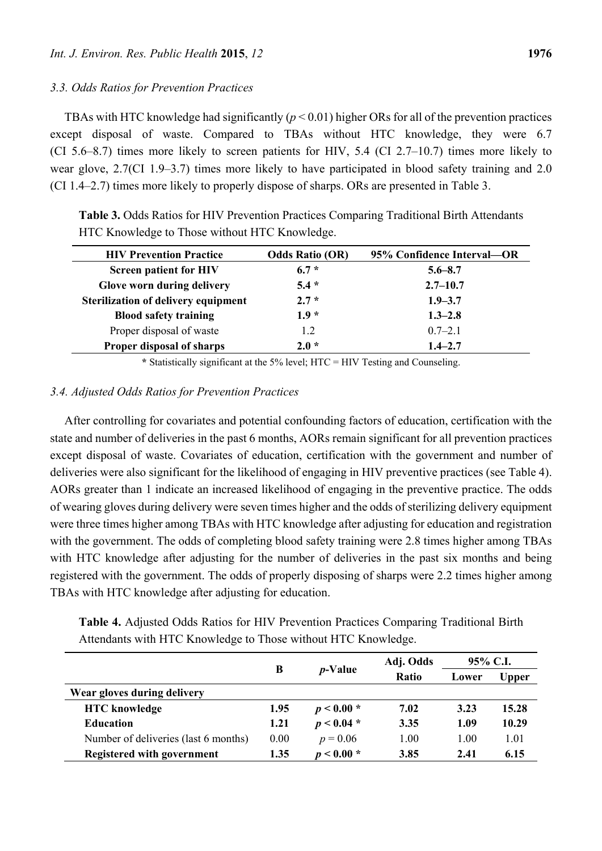#### *3.3. Odds Ratios for Prevention Practices*

TBAs with HTC knowledge had significantly (*p* < 0.01) higher ORs for all of the prevention practices except disposal of waste. Compared to TBAs without HTC knowledge, they were 6.7 (CI 5.6–8.7) times more likely to screen patients for HIV, 5.4 (CI 2.7–10.7) times more likely to wear glove, 2.7(CI 1.9–3.7) times more likely to have participated in blood safety training and 2.0 (CI 1.4–2.7) times more likely to properly dispose of sharps. ORs are presented in Table 3.

| <b>HIV Prevention Practice</b>             | <b>Odds Ratio (OR)</b> | 95% Confidence Interval—OR |
|--------------------------------------------|------------------------|----------------------------|
| <b>Screen patient for HIV</b>              | $6.7 *$                | $5.6 - 8.7$                |
| Glove worn during delivery                 | $5.4*$                 | $2.7 - 10.7$               |
| <b>Sterilization of delivery equipment</b> | $2.7 *$                | $1.9 - 3.7$                |
| <b>Blood safety training</b>               | $1.9*$                 | $1.3 - 2.8$                |
| Proper disposal of waste                   | 1.2                    | $0.7 - 2.1$                |
| Proper disposal of sharps                  | $2.0*$                 | $1.4 - 2.7$                |

**Table 3.** Odds Ratios for HIV Prevention Practices Comparing Traditional Birth Attendants HTC Knowledge to Those without HTC Knowledge.

**\*** Statistically significant at the 5% level; HTC = HIV Testing and Counseling.

#### *3.4. Adjusted Odds Ratios for Prevention Practices*

After controlling for covariates and potential confounding factors of education, certification with the state and number of deliveries in the past 6 months, AORs remain significant for all prevention practices except disposal of waste. Covariates of education, certification with the government and number of deliveries were also significant for the likelihood of engaging in HIV preventive practices (see Table 4). AORs greater than 1 indicate an increased likelihood of engaging in the preventive practice. The odds of wearing gloves during delivery were seven times higher and the odds of sterilizing delivery equipment were three times higher among TBAs with HTC knowledge after adjusting for education and registration with the government. The odds of completing blood safety training were 2.8 times higher among TBAs with HTC knowledge after adjusting for the number of deliveries in the past six months and being registered with the government. The odds of properly disposing of sharps were 2.2 times higher among TBAs with HTC knowledge after adjusting for education.

|                                      | B    | $p$ -Value  | Adj. Odds<br>Ratio | 95% C.I. |              |
|--------------------------------------|------|-------------|--------------------|----------|--------------|
|                                      |      |             |                    | Lower    | <b>Upper</b> |
| Wear gloves during delivery          |      |             |                    |          |              |
| <b>HTC</b> knowledge                 | 1.95 | $p < 0.00*$ | 7.02               | 3.23     | 15.28        |
| <b>Education</b>                     | 1.21 | $p < 0.04*$ | 3.35               | 1.09     | 10.29        |
| Number of deliveries (last 6 months) | 0.00 | $p = 0.06$  | 1.00               | 1.00     | 1.01         |
| <b>Registered with government</b>    | 1.35 | $p < 0.00*$ | 3.85               | 2.41     | 6.15         |

**Table 4.** Adjusted Odds Ratios for HIV Prevention Practices Comparing Traditional Birth Attendants with HTC Knowledge to Those without HTC Knowledge.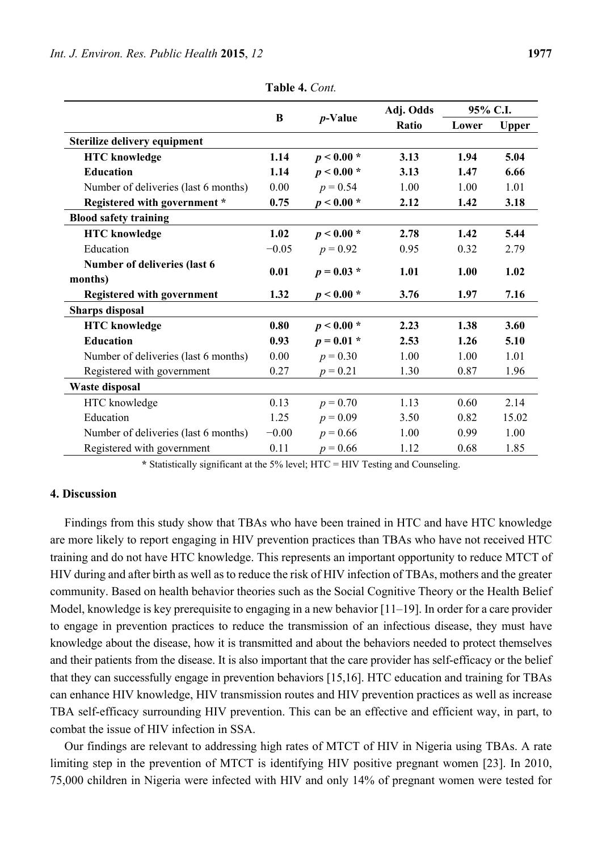|                                      | B       | $p$ -Value   | Adj. Odds<br>Ratio | 95% C.I. |              |
|--------------------------------------|---------|--------------|--------------------|----------|--------------|
|                                      |         |              |                    | Lower    | <b>Upper</b> |
| Sterilize delivery equipment         |         |              |                    |          |              |
| <b>HTC</b> knowledge                 | 1.14    | $p < 0.00*$  | 3.13               | 1.94     | 5.04         |
| <b>Education</b>                     | 1.14    | $p < 0.00*$  | 3.13               | 1.47     | 6.66         |
| Number of deliveries (last 6 months) | 0.00    | $p = 0.54$   | 1.00               | 1.00     | 1.01         |
| Registered with government *         | 0.75    | $p < 0.00*$  | 2.12               | 1.42     | 3.18         |
| <b>Blood safety training</b>         |         |              |                    |          |              |
| <b>HTC</b> knowledge                 | 1.02    | $p < 0.00*$  | 2.78               | 1.42     | 5.44         |
| Education                            | $-0.05$ | $p = 0.92$   | 0.95               | 0.32     | 2.79         |
| Number of deliveries (last 6)        | 0.01    | $p = 0.03$ * | 1.01               | 1.00     | 1.02         |
| months)                              |         |              |                    |          |              |
| <b>Registered with government</b>    | 1.32    | $p < 0.00*$  | 3.76               | 1.97     | 7.16         |
| <b>Sharps disposal</b>               |         |              |                    |          |              |
| <b>HTC</b> knowledge                 | 0.80    | $p < 0.00*$  | 2.23               | 1.38     | 3.60         |
| <b>Education</b>                     | 0.93    | $p = 0.01 *$ | 2.53               | 1.26     | 5.10         |
| Number of deliveries (last 6 months) | 0.00    | $p = 0.30$   | 1.00               | 1.00     | 1.01         |
| Registered with government           | 0.27    | $p = 0.21$   | 1.30               | 0.87     | 1.96         |
| <b>Waste disposal</b>                |         |              |                    |          |              |
| HTC knowledge                        | 0.13    | $p = 0.70$   | 1.13               | 0.60     | 2.14         |
| Education                            | 1.25    | $p = 0.09$   | 3.50               | 0.82     | 15.02        |
| Number of deliveries (last 6 months) | $-0.00$ | $p = 0.66$   | 1.00               | 0.99     | 1.00         |
| Registered with government           | 0.11    | $p = 0.66$   | 1.12               | 0.68     | 1.85         |

**Table 4.** *Cont.* 

**\*** Statistically significant at the 5% level; HTC = HIV Testing and Counseling.

#### **4. Discussion**

Findings from this study show that TBAs who have been trained in HTC and have HTC knowledge are more likely to report engaging in HIV prevention practices than TBAs who have not received HTC training and do not have HTC knowledge. This represents an important opportunity to reduce MTCT of HIV during and after birth as well as to reduce the risk of HIV infection of TBAs, mothers and the greater community. Based on health behavior theories such as the Social Cognitive Theory or the Health Belief Model, knowledge is key prerequisite to engaging in a new behavior  $[11-19]$ . In order for a care provider to engage in prevention practices to reduce the transmission of an infectious disease, they must have knowledge about the disease, how it is transmitted and about the behaviors needed to protect themselves and their patients from the disease. It is also important that the care provider has self-efficacy or the belief that they can successfully engage in prevention behaviors [15,16]. HTC education and training for TBAs can enhance HIV knowledge, HIV transmission routes and HIV prevention practices as well as increase TBA self-efficacy surrounding HIV prevention. This can be an effective and efficient way, in part, to combat the issue of HIV infection in SSA.

Our findings are relevant to addressing high rates of MTCT of HIV in Nigeria using TBAs. A rate limiting step in the prevention of MTCT is identifying HIV positive pregnant women [23]. In 2010, 75,000 children in Nigeria were infected with HIV and only 14% of pregnant women were tested for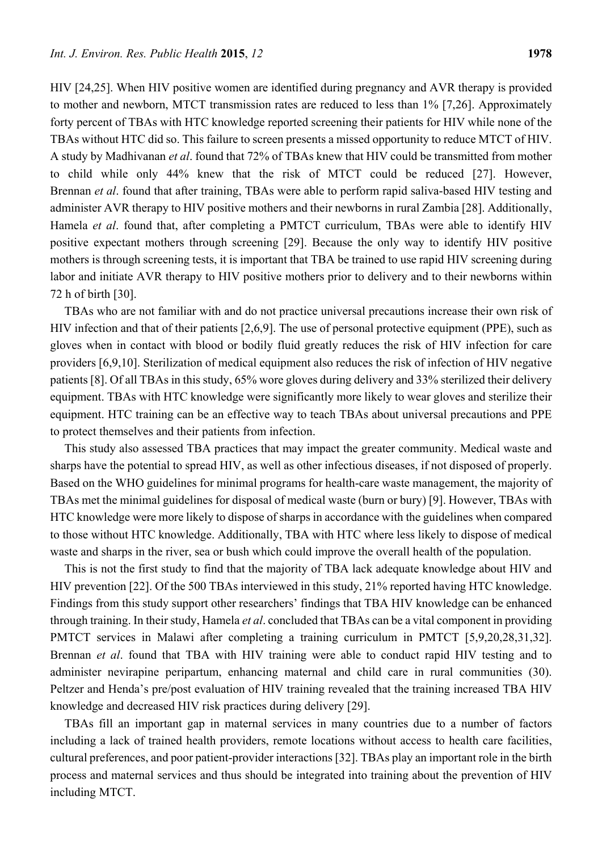HIV [24,25]. When HIV positive women are identified during pregnancy and AVR therapy is provided to mother and newborn, MTCT transmission rates are reduced to less than 1% [7,26]. Approximately forty percent of TBAs with HTC knowledge reported screening their patients for HIV while none of the TBAs without HTC did so. This failure to screen presents a missed opportunity to reduce MTCT of HIV. A study by Madhivanan *et al*. found that 72% of TBAs knew that HIV could be transmitted from mother to child while only 44% knew that the risk of MTCT could be reduced [27]. However, Brennan *et al*. found that after training, TBAs were able to perform rapid saliva-based HIV testing and administer AVR therapy to HIV positive mothers and their newborns in rural Zambia [28]. Additionally, Hamela *et al*. found that, after completing a PMTCT curriculum, TBAs were able to identify HIV positive expectant mothers through screening [29]. Because the only way to identify HIV positive mothers is through screening tests, it is important that TBA be trained to use rapid HIV screening during labor and initiate AVR therapy to HIV positive mothers prior to delivery and to their newborns within 72 h of birth [30].

TBAs who are not familiar with and do not practice universal precautions increase their own risk of HIV infection and that of their patients [2,6,9]. The use of personal protective equipment (PPE), such as gloves when in contact with blood or bodily fluid greatly reduces the risk of HIV infection for care providers [6,9,10]. Sterilization of medical equipment also reduces the risk of infection of HIV negative patients [8]. Of all TBAs in this study, 65% wore gloves during delivery and 33% sterilized their delivery equipment. TBAs with HTC knowledge were significantly more likely to wear gloves and sterilize their equipment. HTC training can be an effective way to teach TBAs about universal precautions and PPE to protect themselves and their patients from infection.

This study also assessed TBA practices that may impact the greater community. Medical waste and sharps have the potential to spread HIV, as well as other infectious diseases, if not disposed of properly. Based on the WHO guidelines for minimal programs for health-care waste management, the majority of TBAs met the minimal guidelines for disposal of medical waste (burn or bury) [9]. However, TBAs with HTC knowledge were more likely to dispose of sharps in accordance with the guidelines when compared to those without HTC knowledge. Additionally, TBA with HTC where less likely to dispose of medical waste and sharps in the river, sea or bush which could improve the overall health of the population.

This is not the first study to find that the majority of TBA lack adequate knowledge about HIV and HIV prevention [22]. Of the 500 TBAs interviewed in this study, 21% reported having HTC knowledge. Findings from this study support other researchers' findings that TBA HIV knowledge can be enhanced through training. In their study, Hamela *et al*. concluded that TBAs can be a vital component in providing PMTCT services in Malawi after completing a training curriculum in PMTCT [5,9,20,28,31,32]. Brennan *et al*. found that TBA with HIV training were able to conduct rapid HIV testing and to administer nevirapine peripartum, enhancing maternal and child care in rural communities (30). Peltzer and Henda's pre/post evaluation of HIV training revealed that the training increased TBA HIV knowledge and decreased HIV risk practices during delivery [29].

TBAs fill an important gap in maternal services in many countries due to a number of factors including a lack of trained health providers, remote locations without access to health care facilities, cultural preferences, and poor patient-provider interactions [32]. TBAs play an important role in the birth process and maternal services and thus should be integrated into training about the prevention of HIV including MTCT.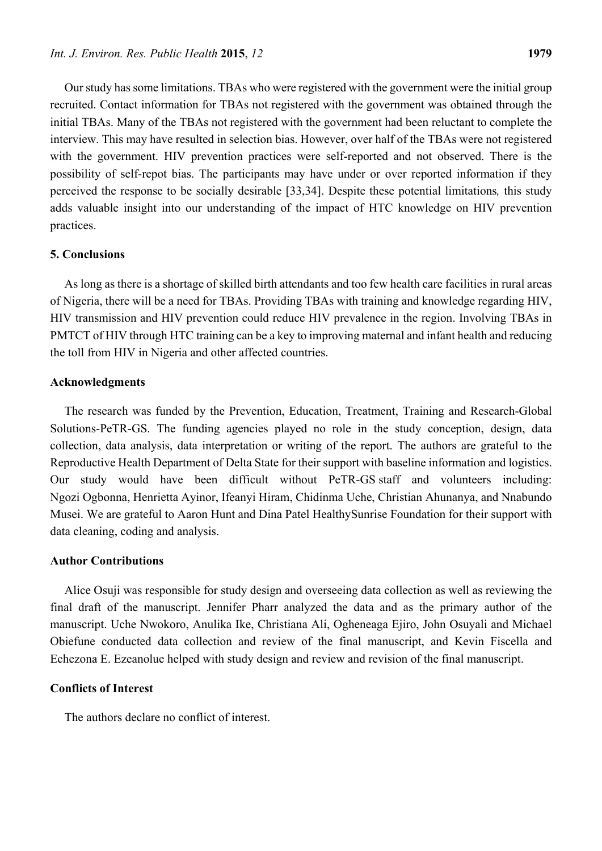Our study has some limitations. TBAs who were registered with the government were the initial group recruited. Contact information for TBAs not registered with the government was obtained through the initial TBAs. Many of the TBAs not registered with the government had been reluctant to complete the interview. This may have resulted in selection bias. However, over half of the TBAs were not registered with the government. HIV prevention practices were self-reported and not observed. There is the possibility of self-repot bias. The participants may have under or over reported information if they perceived the response to be socially desirable [33,34]. Despite these potential limitations*,* this study adds valuable insight into our understanding of the impact of HTC knowledge on HIV prevention practices.

#### **5. Conclusions**

As long as there is a shortage of skilled birth attendants and too few health care facilities in rural areas of Nigeria, there will be a need for TBAs. Providing TBAs with training and knowledge regarding HIV, HIV transmission and HIV prevention could reduce HIV prevalence in the region. Involving TBAs in PMTCT of HIV through HTC training can be a key to improving maternal and infant health and reducing the toll from HIV in Nigeria and other affected countries.

#### **Acknowledgments**

The research was funded by the Prevention, Education, Treatment, Training and Research-Global Solutions-PeTR-GS. The funding agencies played no role in the study conception, design, data collection, data analysis, data interpretation or writing of the report. The authors are grateful to the Reproductive Health Department of Delta State for their support with baseline information and logistics. Our study would have been difficult without PeTR-GS staff and volunteers including: Ngozi Ogbonna, Henrietta Ayinor, Ifeanyi Hiram, Chidinma Uche, Christian Ahunanya, and Nnabundo Musei. We are grateful to Aaron Hunt and Dina Patel HealthySunrise Foundation for their support with data cleaning, coding and analysis.

#### **Author Contributions**

Alice Osuji was responsible for study design and overseeing data collection as well as reviewing the final draft of the manuscript. Jennifer Pharr analyzed the data and as the primary author of the manuscript. Uche Nwokoro, Anulika Ike, Christiana Ali, Ogheneaga Ejiro, John Osuyali and Michael Obiefune conducted data collection and review of the final manuscript, and Kevin Fiscella and Echezona E. Ezeanolue helped with study design and review and revision of the final manuscript.

#### **Conflicts of Interest**

The authors declare no conflict of interest.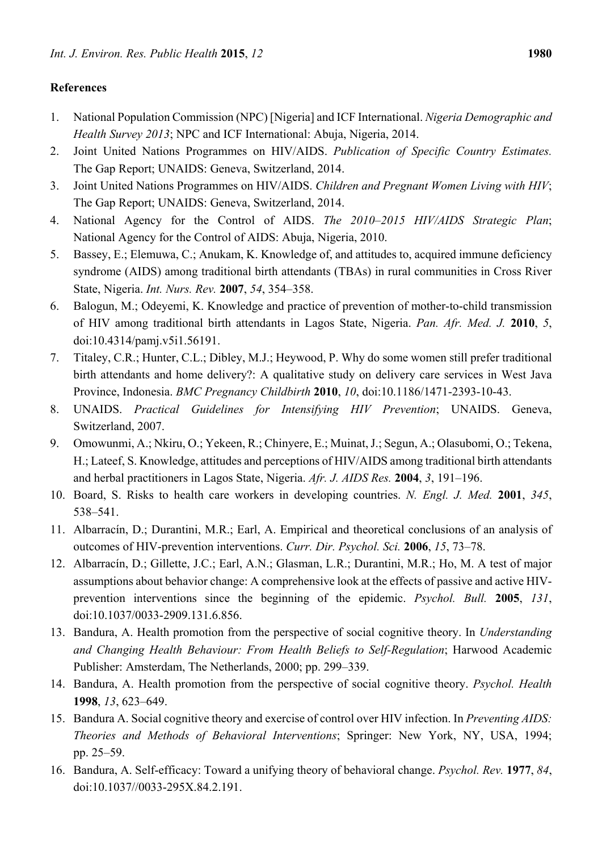### **References**

- 1. National Population Commission (NPC) [Nigeria] and ICF International. *Nigeria Demographic and Health Survey 2013*; NPC and ICF International: Abuja, Nigeria, 2014.
- 2. Joint United Nations Programmes on HIV/AIDS. *Publication of Specific Country Estimates.*  The Gap Report; UNAIDS: Geneva, Switzerland, 2014.
- 3. Joint United Nations Programmes on HIV/AIDS. *Children and Pregnant Women Living with HIV*; The Gap Report; UNAIDS: Geneva, Switzerland, 2014.
- 4. National Agency for the Control of AIDS. *The 2010–2015 HIV/AIDS Strategic Plan*; National Agency for the Control of AIDS: Abuja, Nigeria, 2010.
- 5. Bassey, E.; Elemuwa, C.; Anukam, K. Knowledge of, and attitudes to, acquired immune deficiency syndrome (AIDS) among traditional birth attendants (TBAs) in rural communities in Cross River State, Nigeria. *Int. Nurs. Rev.* **2007**, *54*, 354–358.
- 6. Balogun, M.; Odeyemi, K. Knowledge and practice of prevention of mother-to-child transmission of HIV among traditional birth attendants in Lagos State, Nigeria. *Pan. Afr. Med. J.* **2010**, *5*, doi:10.4314/pamj.v5i1.56191.
- 7. Titaley, C.R.; Hunter, C.L.; Dibley, M.J.; Heywood, P. Why do some women still prefer traditional birth attendants and home delivery?: A qualitative study on delivery care services in West Java Province, Indonesia. *BMC Pregnancy Childbirth* **2010**, *10*, doi:10.1186/1471-2393-10-43.
- 8. UNAIDS. *Practical Guidelines for Intensifying HIV Prevention*; UNAIDS. Geneva, Switzerland, 2007.
- 9. Omowunmi, A.; Nkiru, O.; Yekeen, R.; Chinyere, E.; Muinat, J.; Segun, A.; Olasubomi, O.; Tekena, H.; Lateef, S. Knowledge, attitudes and perceptions of HIV/AIDS among traditional birth attendants and herbal practitioners in Lagos State, Nigeria. *Afr. J. AIDS Res.* **2004**, *3*, 191–196.
- 10. Board, S. Risks to health care workers in developing countries. *N. Engl. J. Med.* **2001**, *345*, 538–541.
- 11. Albarracín, D.; Durantini, M.R.; Earl, A. Empirical and theoretical conclusions of an analysis of outcomes of HIV-prevention interventions. *Curr. Dir. Psychol. Sci.* **2006**, *15*, 73–78.
- 12. Albarracín, D.; Gillette, J.C.; Earl, A.N.; Glasman, L.R.; Durantini, M.R.; Ho, M. A test of major assumptions about behavior change: A comprehensive look at the effects of passive and active HIVprevention interventions since the beginning of the epidemic. *Psychol. Bull.* **2005**, *131*, doi:10.1037/0033-2909.131.6.856.
- 13. Bandura, A. Health promotion from the perspective of social cognitive theory. In *Understanding and Changing Health Behaviour: From Health Beliefs to Self-Regulation*; Harwood Academic Publisher: Amsterdam, The Netherlands, 2000; pp. 299–339.
- 14. Bandura, A. Health promotion from the perspective of social cognitive theory. *Psychol. Health* **1998**, *13*, 623–649.
- 15. Bandura A. Social cognitive theory and exercise of control over HIV infection. In *Preventing AIDS: Theories and Methods of Behavioral Interventions*; Springer: New York, NY, USA, 1994; pp. 25–59.
- 16. Bandura, A. Self-efficacy: Toward a unifying theory of behavioral change. *Psychol. Rev.* **1977**, *84*, doi:10.1037//0033-295X.84.2.191.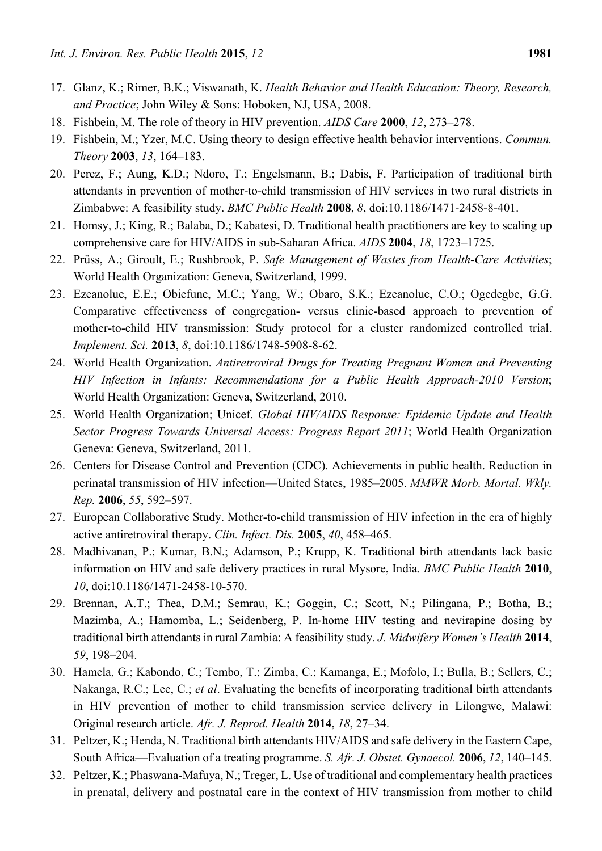- 17. Glanz, K.; Rimer, B.K.; Viswanath, K. *Health Behavior and Health Education: Theory, Research, and Practice*; John Wiley & Sons: Hoboken, NJ, USA, 2008.
- 18. Fishbein, M. The role of theory in HIV prevention. *AIDS Care* **2000**, *12*, 273–278.
- 19. Fishbein, M.; Yzer, M.C. Using theory to design effective health behavior interventions. *Commun. Theory* **2003**, *13*, 164–183.
- 20. Perez, F.; Aung, K.D.; Ndoro, T.; Engelsmann, B.; Dabis, F. Participation of traditional birth attendants in prevention of mother-to-child transmission of HIV services in two rural districts in Zimbabwe: A feasibility study. *BMC Public Health* **2008**, *8*, doi:10.1186/1471-2458-8-401.
- 21. Homsy, J.; King, R.; Balaba, D.; Kabatesi, D. Traditional health practitioners are key to scaling up comprehensive care for HIV/AIDS in sub-Saharan Africa. *AIDS* **2004**, *18*, 1723–1725.
- 22. Prüss, A.; Giroult, E.; Rushbrook, P. *Safe Management of Wastes from Health-Care Activities*; World Health Organization: Geneva, Switzerland, 1999.
- 23. Ezeanolue, E.E.; Obiefune, M.C.; Yang, W.; Obaro, S.K.; Ezeanolue, C.O.; Ogedegbe, G.G. Comparative effectiveness of congregation- versus clinic-based approach to prevention of mother-to-child HIV transmission: Study protocol for a cluster randomized controlled trial. *Implement. Sci.* **2013**, *8*, doi:10.1186/1748-5908-8-62.
- 24. World Health Organization. *Antiretroviral Drugs for Treating Pregnant Women and Preventing HIV Infection in Infants: Recommendations for a Public Health Approach-2010 Version*; World Health Organization: Geneva, Switzerland, 2010.
- 25. World Health Organization; Unicef. *Global HIV/AIDS Response: Epidemic Update and Health Sector Progress Towards Universal Access: Progress Report 2011*; World Health Organization Geneva: Geneva, Switzerland, 2011.
- 26. Centers for Disease Control and Prevention (CDC). Achievements in public health. Reduction in perinatal transmission of HIV infection—United States, 1985–2005. *MMWR Morb. Mortal. Wkly. Rep.* **2006**, *55*, 592–597.
- 27. European Collaborative Study. Mother-to-child transmission of HIV infection in the era of highly active antiretroviral therapy. *Clin. Infect. Dis.* **2005**, *40*, 458–465.
- 28. Madhivanan, P.; Kumar, B.N.; Adamson, P.; Krupp, K. Traditional birth attendants lack basic information on HIV and safe delivery practices in rural Mysore, India. *BMC Public Health* **2010**, *10*, doi:10.1186/1471-2458-10-570.
- 29. Brennan, A.T.; Thea, D.M.; Semrau, K.; Goggin, C.; Scott, N.; Pilingana, P.; Botha, B.; Mazimba, A.; Hamomba, L.; Seidenberg, P. In‐home HIV testing and nevirapine dosing by traditional birth attendants in rural Zambia: A feasibility study. *J. Midwifery Women's Health* **2014**, *59*, 198–204.
- 30. Hamela, G.; Kabondo, C.; Tembo, T.; Zimba, C.; Kamanga, E.; Mofolo, I.; Bulla, B.; Sellers, C.; Nakanga, R.C.; Lee, C.; *et al*. Evaluating the benefits of incorporating traditional birth attendants in HIV prevention of mother to child transmission service delivery in Lilongwe, Malawi: Original research article. *Afr. J. Reprod. Health* **2014**, *18*, 27–34.
- 31. Peltzer, K.; Henda, N. Traditional birth attendants HIV/AIDS and safe delivery in the Eastern Cape, South Africa—Evaluation of a treating programme. *S. Afr. J. Obstet. Gynaecol.* **2006**, *12*, 140–145.
- 32. Peltzer, K.; Phaswana-Mafuya, N.; Treger, L. Use of traditional and complementary health practices in prenatal, delivery and postnatal care in the context of HIV transmission from mother to child